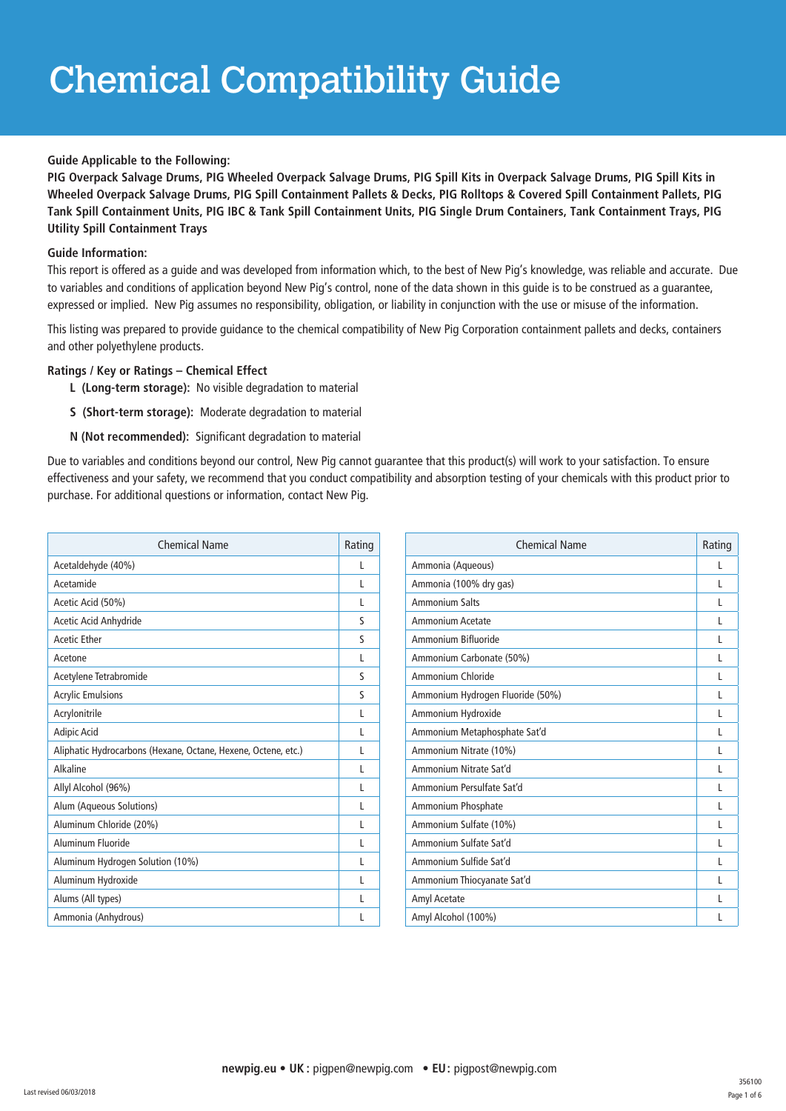## Chemical Compatibility Guide

## **Guide Applicable to the Following:**

**PIG Overpack Salvage Drums, PIG Wheeled Overpack Salvage Drums, PIG Spill Kits in Overpack Salvage Drums, PIG Spill Kits in Wheeled Overpack Salvage Drums, PIG Spill Containment Pallets & Decks, PIG Rolltops & Covered Spill Containment Pallets, PIG Tank Spill Containment Units, PIG IBC & Tank Spill Containment Units, PIG Single Drum Containers, Tank Containment Trays, PIG Utility Spill Containment Trays**

## **Guide Information:**

This report is offered as a guide and was developed from information which, to the best of New Pig's knowledge, was reliable and accurate. Due to variables and conditions of application beyond New Pig's control, none of the data shown in this guide is to be construed as a guarantee, expressed or implied. New Pig assumes no responsibility, obligation, or liability in conjunction with the use or misuse of the information.

This listing was prepared to provide guidance to the chemical compatibility of New Pig Corporation containment pallets and decks, containers and other polyethylene products.

## **Ratings / Key or Ratings – Chemical Effect**

- **L (Long-term storage):** No visible degradation to material
- **S (Short-term storage):** Moderate degradation to material
- **N (Not recommended):** Significant degradation to material

Due to variables and conditions beyond our control, New Pig cannot guarantee that this product(s) will work to your satisfaction. To ensure effectiveness and your safety, we recommend that you conduct compatibility and absorption testing of your chemicals with this product prior to purchase. For additional questions or information, contact New Pig.

| <b>Chemical Name</b>                                          | Rating       |
|---------------------------------------------------------------|--------------|
| Acetaldehyde (40%)                                            | L            |
| Acetamide                                                     | L            |
| Acetic Acid (50%)                                             | L            |
| Acetic Acid Anhydride                                         | S            |
| <b>Acetic Ether</b>                                           | $\mathsf{S}$ |
| Acetone                                                       | L            |
| Acetylene Tetrabromide                                        | S            |
| <b>Acrylic Emulsions</b>                                      | S            |
| Acrylonitrile                                                 | L            |
| <b>Adipic Acid</b>                                            | L            |
| Aliphatic Hydrocarbons (Hexane, Octane, Hexene, Octene, etc.) | L            |
| Alkaline                                                      | L            |
| Allyl Alcohol (96%)                                           | L            |
| Alum (Aqueous Solutions)                                      | L            |
| Aluminum Chloride (20%)                                       | L            |
| Aluminum Fluoride                                             | L            |
| Aluminum Hydrogen Solution (10%)                              | L            |
| Aluminum Hydroxide                                            | L            |
| Alums (All types)                                             | L            |
| Ammonia (Anhydrous)                                           | L            |

| Chemical Name                    | Rating |
|----------------------------------|--------|
| Ammonia (Aqueous)                | L      |
| Ammonia (100% dry gas)           | L      |
| <b>Ammonium Salts</b>            | L      |
| Ammonium Acetate                 | L      |
| Ammonium Bifluoride              | L      |
| Ammonium Carbonate (50%)         | L      |
| Ammonium Chloride                | L      |
| Ammonium Hydrogen Fluoride (50%) | L      |
| Ammonium Hydroxide               | L      |
| Ammonium Metaphosphate Sat'd     | L      |
| Ammonium Nitrate (10%)           | L      |
| Ammonium Nitrate Sat'd           | L      |
| Ammonium Persulfate Sat'd        | L      |
| Ammonium Phosphate               | L      |
| Ammonium Sulfate (10%)           | L      |
| Ammonium Sulfate Sat'd           | L      |
| Ammonium Sulfide Sat'd           | L      |
| Ammonium Thiocyanate Sat'd       | L      |
| Amyl Acetate                     | L      |
| Amyl Alcohol (100%)              | L      |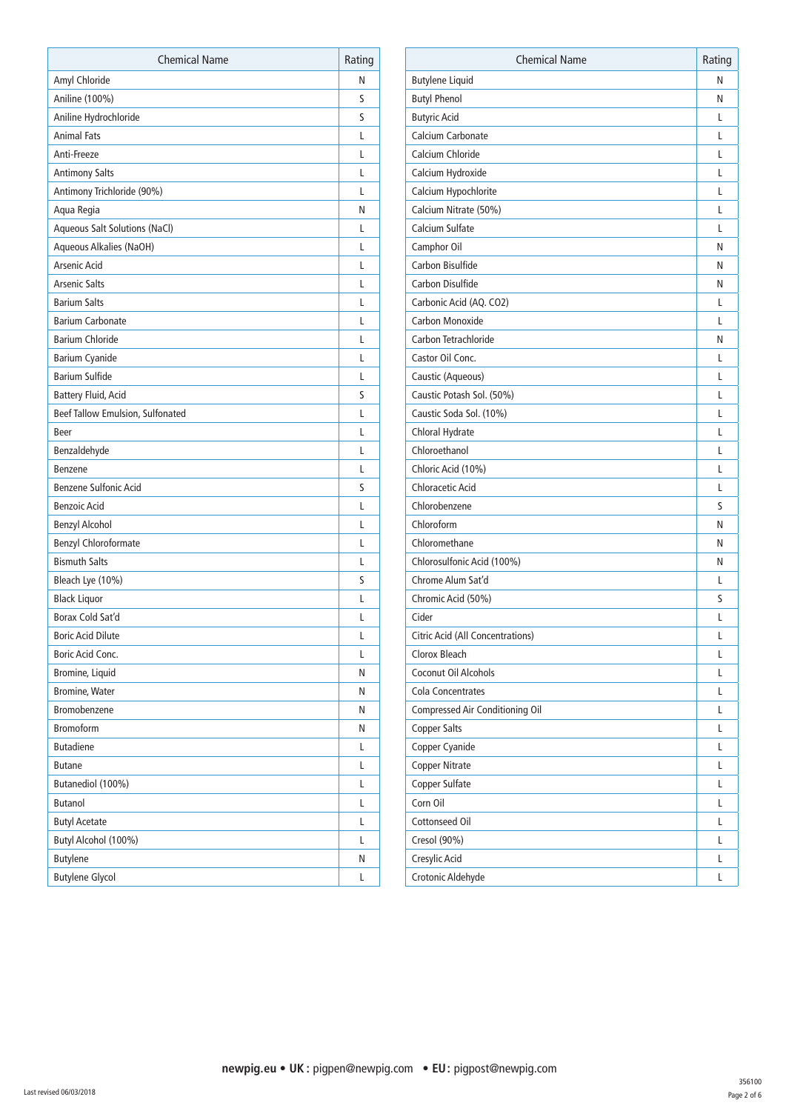| <b>Chemical Name</b>             | Rating |
|----------------------------------|--------|
| Amyl Chloride                    | Ν      |
| Aniline (100%)                   | S      |
| Aniline Hydrochloride            | S      |
| <b>Animal Fats</b>               | L      |
| Anti-Freeze                      | L      |
| <b>Antimony Salts</b>            | L      |
| Antimony Trichloride (90%)       | L      |
| Aqua Regia                       | N      |
| Aqueous Salt Solutions (NaCl)    | L      |
| Aqueous Alkalies (NaOH)          | L      |
| Arsenic Acid                     | L      |
| <b>Arsenic Salts</b>             | L      |
| <b>Barium Salts</b>              | L      |
| <b>Barium Carbonate</b>          | L      |
| <b>Barium Chloride</b>           | L      |
| <b>Barium Cyanide</b>            | L      |
| <b>Barium Sulfide</b>            | L      |
| Battery Fluid, Acid              | S      |
| Beef Tallow Emulsion, Sulfonated | L      |
| <b>Beer</b>                      | L      |
| Benzaldehyde                     | L      |
| Benzene                          | L      |
| <b>Benzene Sulfonic Acid</b>     | S      |
| <b>Benzoic Acid</b>              | L      |
| <b>Benzyl Alcohol</b>            | L      |
| <b>Benzyl Chloroformate</b>      | L      |
| <b>Bismuth Salts</b>             | L      |
| Bleach Lye (10%)                 | S      |
| <b>Black Liquor</b>              | L      |
| Borax Cold Sat'd                 | L      |
| <b>Boric Acid Dilute</b>         | L      |
| Boric Acid Conc.                 | L      |
| Bromine, Liquid                  | Ν      |
| <b>Bromine, Water</b>            | Ν      |
| Bromobenzene                     | Ν      |
| <b>Bromoform</b>                 | Ν      |
| <b>Butadiene</b>                 | L      |
| <b>Butane</b>                    | L      |
| Butanediol (100%)                | L      |
| <b>Butanol</b>                   | L      |
| <b>Butyl Acetate</b>             | L      |
| Butyl Alcohol (100%)             | L      |
| <b>Butylene</b>                  | Ν      |
| <b>Butylene Glycol</b>           | L      |

| <b>Chemical Name</b>                    | Rating |
|-----------------------------------------|--------|
| <b>Butylene Liquid</b>                  | N      |
| <b>Butyl Phenol</b>                     | Ν      |
| <b>Butyric Acid</b>                     | L      |
| Calcium Carbonate                       | L      |
| Calcium Chloride                        | L      |
| Calcium Hydroxide                       | L      |
| Calcium Hypochlorite                    | L      |
| Calcium Nitrate (50%)                   | L      |
| <b>Calcium Sulfate</b>                  | L      |
| Camphor Oil                             | N      |
| Carbon Bisulfide                        | Ν      |
| Carbon Disulfide                        | Ν      |
| Carbonic Acid (AQ. CO2)                 | L      |
| Carbon Monoxide                         | L      |
| Carbon Tetrachloride                    | Ν      |
| Castor Oil Conc.                        | L      |
| Caustic (Aqueous)                       | L      |
| Caustic Potash Sol. (50%)               | L      |
| Caustic Soda Sol. (10%)                 | L      |
| Chloral Hydrate                         | L      |
| Chloroethanol                           | L      |
| Chloric Acid (10%)                      | L      |
| <b>Chloracetic Acid</b>                 | L      |
| Chlorobenzene                           | S      |
| Chloroform                              | Ν      |
| Chloromethane                           | N      |
| Chlorosulfonic Acid (100%)              | N      |
| Chrome Alum Sat'd                       | L      |
| Chromic Acid (50%)                      | S      |
| Cider                                   | L      |
| <b>Citric Acid (All Concentrations)</b> | L      |
| Clorox Bleach                           | L      |
| Coconut Oil Alcohols                    | L      |
| <b>Cola Concentrates</b>                | L      |
| Compressed Air Conditioning Oil         | L      |
| <b>Copper Salts</b>                     | L      |
| Copper Cyanide                          | L      |
| <b>Copper Nitrate</b>                   | L      |
| Copper Sulfate                          | L      |
| Corn Oil                                | L      |
| <b>Cottonseed Oil</b>                   | L      |
| Cresol (90%)                            | L      |
| Cresylic Acid                           | L      |
| Crotonic Aldehyde                       | L      |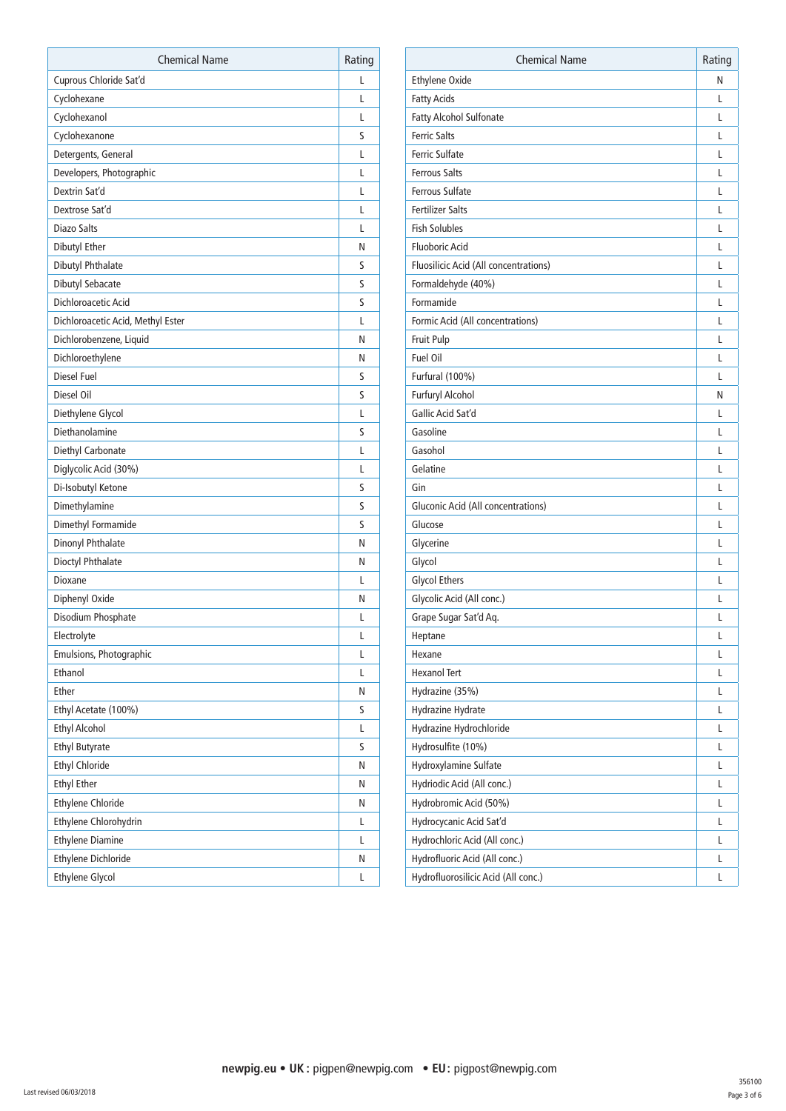| <b>Chemical Name</b>              | Rating |
|-----------------------------------|--------|
| Cuprous Chloride Sat'd            | L      |
| Cyclohexane                       | L      |
| Cyclohexanol                      | L      |
| Cyclohexanone                     | S      |
| Detergents, General               | L      |
| Developers, Photographic          | L      |
| Dextrin Sat'd                     | L      |
| Dextrose Sat'd                    | L      |
| <b>Diazo Salts</b>                | L      |
| Dibutyl Ether                     | Ν      |
| Dibutyl Phthalate                 | S      |
| Dibutyl Sebacate                  | S      |
| Dichloroacetic Acid               | S      |
| Dichloroacetic Acid, Methyl Ester | L      |
| Dichlorobenzene, Liquid           | Ν      |
| Dichloroethylene                  | Ν      |
| Diesel Fuel                       | S      |
| Diesel Oil                        | S      |
| Diethylene Glycol                 | L      |
| Diethanolamine                    | S      |
| Diethyl Carbonate                 | L      |
| Diglycolic Acid (30%)             | L      |
| Di-Isobutyl Ketone                | S      |
| Dimethylamine                     | S      |
| Dimethyl Formamide                | S      |
| Dinonyl Phthalate                 | Ν      |
| Dioctyl Phthalate                 | Ν      |
| Dioxane                           | L      |
| Diphenyl Oxide                    | Ν      |
| Disodium Phosphate                | L      |
| Electrolyte                       | L      |
| Emulsions, Photographic           | L      |
| Ethanol                           | L      |
| Ether                             | Ν      |
| Ethyl Acetate (100%)              | S      |
| <b>Ethyl Alcohol</b>              | L      |
| <b>Ethyl Butyrate</b>             | S      |
| <b>Ethyl Chloride</b>             | Ν      |
| <b>Ethyl Ether</b>                | Ν      |
| <b>Ethylene Chloride</b>          | Ν      |
| Ethylene Chlorohydrin             | L      |
| <b>Ethylene Diamine</b>           | L      |
| <b>Ethylene Dichloride</b>        | Ν      |
| Ethylene Glycol                   | L      |

| <b>Ethylene Oxide</b><br>Ν<br><b>Fatty Acids</b><br>L<br>Fatty Alcohol Sulfonate<br>L<br><b>Ferric Salts</b><br>L<br><b>Ferric Sulfate</b><br>L<br><b>Ferrous Salts</b><br>L<br><b>Ferrous Sulfate</b><br>L<br><b>Fertilizer Salts</b><br>L<br><b>Fish Solubles</b><br>L<br><b>Fluoboric Acid</b><br>L<br>Fluosilicic Acid (All concentrations)<br>L<br>Formaldehyde (40%)<br>L<br>Formamide<br>L<br>Formic Acid (All concentrations)<br>L<br>Fruit Pulp<br>L<br>Fuel Oil<br>L<br>Furfural (100%)<br>L<br>Furfuryl Alcohol<br>Ν<br>Gallic Acid Sat'd<br>L<br>Gasoline<br>L<br>Gasohol<br>L<br>Gelatine<br>L<br>Gin<br>L<br><b>Gluconic Acid (All concentrations)</b><br>L<br>Glucose<br>L<br>Glycerine<br>L<br>Glycol<br>L<br><b>Glycol Ethers</b><br>L<br>Glycolic Acid (All conc.)<br>L<br>Grape Sugar Sat'd Aq.<br>L<br>Heptane<br>L<br>Hexane<br>L<br><b>Hexanol Tert</b><br>L<br>Hydrazine (35%)<br>L<br>Hydrazine Hydrate<br>L<br>Hydrazine Hydrochloride<br>L<br>Hydrosulfite (10%)<br>L<br>Hydroxylamine Sulfate<br>L<br>Hydriodic Acid (All conc.)<br>L<br>Hydrobromic Acid (50%)<br>L<br>Hydrocycanic Acid Sat'd<br>L<br>Hydrochloric Acid (All conc.)<br>L<br>Hydrofluoric Acid (All conc.)<br>L<br>Hydrofluorosilicic Acid (All conc.)<br>L | <b>Chemical Name</b> | Rating |
|---------------------------------------------------------------------------------------------------------------------------------------------------------------------------------------------------------------------------------------------------------------------------------------------------------------------------------------------------------------------------------------------------------------------------------------------------------------------------------------------------------------------------------------------------------------------------------------------------------------------------------------------------------------------------------------------------------------------------------------------------------------------------------------------------------------------------------------------------------------------------------------------------------------------------------------------------------------------------------------------------------------------------------------------------------------------------------------------------------------------------------------------------------------------------------------------------------------------------------------------------------|----------------------|--------|
|                                                                                                                                                                                                                                                                                                                                                                                                                                                                                                                                                                                                                                                                                                                                                                                                                                                                                                                                                                                                                                                                                                                                                                                                                                                         |                      |        |
|                                                                                                                                                                                                                                                                                                                                                                                                                                                                                                                                                                                                                                                                                                                                                                                                                                                                                                                                                                                                                                                                                                                                                                                                                                                         |                      |        |
|                                                                                                                                                                                                                                                                                                                                                                                                                                                                                                                                                                                                                                                                                                                                                                                                                                                                                                                                                                                                                                                                                                                                                                                                                                                         |                      |        |
|                                                                                                                                                                                                                                                                                                                                                                                                                                                                                                                                                                                                                                                                                                                                                                                                                                                                                                                                                                                                                                                                                                                                                                                                                                                         |                      |        |
|                                                                                                                                                                                                                                                                                                                                                                                                                                                                                                                                                                                                                                                                                                                                                                                                                                                                                                                                                                                                                                                                                                                                                                                                                                                         |                      |        |
|                                                                                                                                                                                                                                                                                                                                                                                                                                                                                                                                                                                                                                                                                                                                                                                                                                                                                                                                                                                                                                                                                                                                                                                                                                                         |                      |        |
|                                                                                                                                                                                                                                                                                                                                                                                                                                                                                                                                                                                                                                                                                                                                                                                                                                                                                                                                                                                                                                                                                                                                                                                                                                                         |                      |        |
|                                                                                                                                                                                                                                                                                                                                                                                                                                                                                                                                                                                                                                                                                                                                                                                                                                                                                                                                                                                                                                                                                                                                                                                                                                                         |                      |        |
|                                                                                                                                                                                                                                                                                                                                                                                                                                                                                                                                                                                                                                                                                                                                                                                                                                                                                                                                                                                                                                                                                                                                                                                                                                                         |                      |        |
|                                                                                                                                                                                                                                                                                                                                                                                                                                                                                                                                                                                                                                                                                                                                                                                                                                                                                                                                                                                                                                                                                                                                                                                                                                                         |                      |        |
|                                                                                                                                                                                                                                                                                                                                                                                                                                                                                                                                                                                                                                                                                                                                                                                                                                                                                                                                                                                                                                                                                                                                                                                                                                                         |                      |        |
|                                                                                                                                                                                                                                                                                                                                                                                                                                                                                                                                                                                                                                                                                                                                                                                                                                                                                                                                                                                                                                                                                                                                                                                                                                                         |                      |        |
|                                                                                                                                                                                                                                                                                                                                                                                                                                                                                                                                                                                                                                                                                                                                                                                                                                                                                                                                                                                                                                                                                                                                                                                                                                                         |                      |        |
|                                                                                                                                                                                                                                                                                                                                                                                                                                                                                                                                                                                                                                                                                                                                                                                                                                                                                                                                                                                                                                                                                                                                                                                                                                                         |                      |        |
|                                                                                                                                                                                                                                                                                                                                                                                                                                                                                                                                                                                                                                                                                                                                                                                                                                                                                                                                                                                                                                                                                                                                                                                                                                                         |                      |        |
|                                                                                                                                                                                                                                                                                                                                                                                                                                                                                                                                                                                                                                                                                                                                                                                                                                                                                                                                                                                                                                                                                                                                                                                                                                                         |                      |        |
|                                                                                                                                                                                                                                                                                                                                                                                                                                                                                                                                                                                                                                                                                                                                                                                                                                                                                                                                                                                                                                                                                                                                                                                                                                                         |                      |        |
|                                                                                                                                                                                                                                                                                                                                                                                                                                                                                                                                                                                                                                                                                                                                                                                                                                                                                                                                                                                                                                                                                                                                                                                                                                                         |                      |        |
|                                                                                                                                                                                                                                                                                                                                                                                                                                                                                                                                                                                                                                                                                                                                                                                                                                                                                                                                                                                                                                                                                                                                                                                                                                                         |                      |        |
|                                                                                                                                                                                                                                                                                                                                                                                                                                                                                                                                                                                                                                                                                                                                                                                                                                                                                                                                                                                                                                                                                                                                                                                                                                                         |                      |        |
|                                                                                                                                                                                                                                                                                                                                                                                                                                                                                                                                                                                                                                                                                                                                                                                                                                                                                                                                                                                                                                                                                                                                                                                                                                                         |                      |        |
|                                                                                                                                                                                                                                                                                                                                                                                                                                                                                                                                                                                                                                                                                                                                                                                                                                                                                                                                                                                                                                                                                                                                                                                                                                                         |                      |        |
|                                                                                                                                                                                                                                                                                                                                                                                                                                                                                                                                                                                                                                                                                                                                                                                                                                                                                                                                                                                                                                                                                                                                                                                                                                                         |                      |        |
|                                                                                                                                                                                                                                                                                                                                                                                                                                                                                                                                                                                                                                                                                                                                                                                                                                                                                                                                                                                                                                                                                                                                                                                                                                                         |                      |        |
|                                                                                                                                                                                                                                                                                                                                                                                                                                                                                                                                                                                                                                                                                                                                                                                                                                                                                                                                                                                                                                                                                                                                                                                                                                                         |                      |        |
|                                                                                                                                                                                                                                                                                                                                                                                                                                                                                                                                                                                                                                                                                                                                                                                                                                                                                                                                                                                                                                                                                                                                                                                                                                                         |                      |        |
|                                                                                                                                                                                                                                                                                                                                                                                                                                                                                                                                                                                                                                                                                                                                                                                                                                                                                                                                                                                                                                                                                                                                                                                                                                                         |                      |        |
|                                                                                                                                                                                                                                                                                                                                                                                                                                                                                                                                                                                                                                                                                                                                                                                                                                                                                                                                                                                                                                                                                                                                                                                                                                                         |                      |        |
|                                                                                                                                                                                                                                                                                                                                                                                                                                                                                                                                                                                                                                                                                                                                                                                                                                                                                                                                                                                                                                                                                                                                                                                                                                                         |                      |        |
|                                                                                                                                                                                                                                                                                                                                                                                                                                                                                                                                                                                                                                                                                                                                                                                                                                                                                                                                                                                                                                                                                                                                                                                                                                                         |                      |        |
|                                                                                                                                                                                                                                                                                                                                                                                                                                                                                                                                                                                                                                                                                                                                                                                                                                                                                                                                                                                                                                                                                                                                                                                                                                                         |                      |        |
|                                                                                                                                                                                                                                                                                                                                                                                                                                                                                                                                                                                                                                                                                                                                                                                                                                                                                                                                                                                                                                                                                                                                                                                                                                                         |                      |        |
|                                                                                                                                                                                                                                                                                                                                                                                                                                                                                                                                                                                                                                                                                                                                                                                                                                                                                                                                                                                                                                                                                                                                                                                                                                                         |                      |        |
|                                                                                                                                                                                                                                                                                                                                                                                                                                                                                                                                                                                                                                                                                                                                                                                                                                                                                                                                                                                                                                                                                                                                                                                                                                                         |                      |        |
|                                                                                                                                                                                                                                                                                                                                                                                                                                                                                                                                                                                                                                                                                                                                                                                                                                                                                                                                                                                                                                                                                                                                                                                                                                                         |                      |        |
|                                                                                                                                                                                                                                                                                                                                                                                                                                                                                                                                                                                                                                                                                                                                                                                                                                                                                                                                                                                                                                                                                                                                                                                                                                                         |                      |        |
|                                                                                                                                                                                                                                                                                                                                                                                                                                                                                                                                                                                                                                                                                                                                                                                                                                                                                                                                                                                                                                                                                                                                                                                                                                                         |                      |        |
|                                                                                                                                                                                                                                                                                                                                                                                                                                                                                                                                                                                                                                                                                                                                                                                                                                                                                                                                                                                                                                                                                                                                                                                                                                                         |                      |        |
|                                                                                                                                                                                                                                                                                                                                                                                                                                                                                                                                                                                                                                                                                                                                                                                                                                                                                                                                                                                                                                                                                                                                                                                                                                                         |                      |        |
|                                                                                                                                                                                                                                                                                                                                                                                                                                                                                                                                                                                                                                                                                                                                                                                                                                                                                                                                                                                                                                                                                                                                                                                                                                                         |                      |        |
|                                                                                                                                                                                                                                                                                                                                                                                                                                                                                                                                                                                                                                                                                                                                                                                                                                                                                                                                                                                                                                                                                                                                                                                                                                                         |                      |        |
|                                                                                                                                                                                                                                                                                                                                                                                                                                                                                                                                                                                                                                                                                                                                                                                                                                                                                                                                                                                                                                                                                                                                                                                                                                                         |                      |        |
|                                                                                                                                                                                                                                                                                                                                                                                                                                                                                                                                                                                                                                                                                                                                                                                                                                                                                                                                                                                                                                                                                                                                                                                                                                                         |                      |        |
|                                                                                                                                                                                                                                                                                                                                                                                                                                                                                                                                                                                                                                                                                                                                                                                                                                                                                                                                                                                                                                                                                                                                                                                                                                                         |                      |        |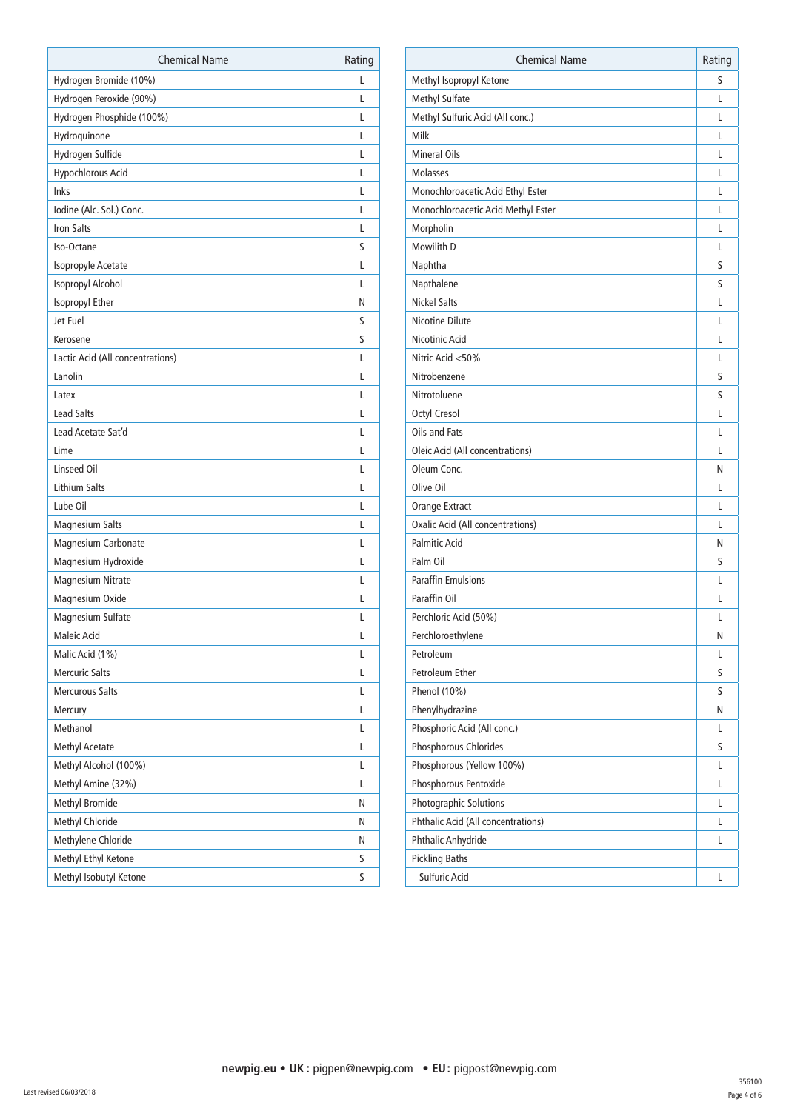| <b>Chemical Name</b>             | Rating |
|----------------------------------|--------|
| Hydrogen Bromide (10%)           | L      |
| Hydrogen Peroxide (90%)          | L      |
| Hydrogen Phosphide (100%)        | L      |
| Hydroquinone                     | L      |
| Hydrogen Sulfide                 | L      |
| Hypochlorous Acid                | L      |
| Inks                             | L      |
| Iodine (Alc. Sol.) Conc.         | L      |
| <b>Iron Salts</b>                | L      |
| Iso-Octane                       | S      |
| Isopropyle Acetate               | L      |
| Isopropyl Alcohol                | L      |
| Isopropyl Ether                  | Ν      |
| Jet Fuel                         | S      |
| Kerosene                         | S      |
| Lactic Acid (All concentrations) | L      |
| Lanolin                          | L      |
| Latex                            | L      |
| <b>Lead Salts</b>                | L      |
| Lead Acetate Sat'd               | L      |
| Lime                             | L      |
| <b>Linseed Oil</b>               | L      |
| <b>Lithium Salts</b>             | L      |
| Lube Oil                         | L      |
| <b>Magnesium Salts</b>           | L      |
| Magnesium Carbonate              | L      |
| Magnesium Hydroxide              | L      |
| <b>Magnesium Nitrate</b>         | L      |
| Magnesium Oxide                  | L      |
| Magnesium Sulfate                | L      |
| Maleic Acid                      | L      |
| Malic Acid (1%)                  | L      |
| <b>Mercuric Salts</b>            | L      |
| <b>Mercurous Salts</b>           | L      |
| Mercury                          | L      |
| Methanol                         | L      |
| <b>Methyl Acetate</b>            | L      |
| Methyl Alcohol (100%)            | L      |
| Methyl Amine (32%)               | L      |
| <b>Methyl Bromide</b>            | Ν      |
| Methyl Chloride                  | Ν      |
| Methylene Chloride               | Ν      |
| Methyl Ethyl Ketone              | S      |
| Methyl Isobutyl Ketone           | S      |

| <b>Chemical Name</b>               | Rating |
|------------------------------------|--------|
| Methyl Isopropyl Ketone            | S      |
| <b>Methyl Sulfate</b>              | L      |
| Methyl Sulfuric Acid (All conc.)   | L      |
| Milk                               | L      |
| <b>Mineral Oils</b>                | L      |
| <b>Molasses</b>                    | L      |
| Monochloroacetic Acid Ethyl Ester  | L      |
| Monochloroacetic Acid Methyl Ester | L      |
| Morpholin                          | L      |
| Mowilith D                         | L      |
| Naphtha                            | S      |
| Napthalene                         | S      |
| <b>Nickel Salts</b>                | L      |
| Nicotine Dilute                    | L      |
| Nicotinic Acid                     | L      |
| Nitric Acid <50%                   | L      |
| Nitrobenzene                       | S      |
| Nitrotoluene                       | S      |
| Octyl Cresol                       | L      |
| Oils and Fats                      | L      |
| Oleic Acid (All concentrations)    | L      |
| Oleum Conc.                        | Ν      |
| Olive Oil                          | L      |
| Orange Extract                     | L      |
| Oxalic Acid (All concentrations)   | L      |
| <b>Palmitic Acid</b>               | N      |
| Palm Oil                           | S      |
| <b>Paraffin Emulsions</b>          | L      |
| Paraffin Oil                       | L      |
| Perchloric Acid (50%)              | L      |
| Perchloroethylene                  | Ν      |
| Petroleum                          | L      |
| Petroleum Ether                    | S      |
| Phenol (10%)                       | S      |
| Phenylhydrazine                    | Ν      |
| Phosphoric Acid (All conc.)        | L      |
| Phosphorous Chlorides              | S      |
| Phosphorous (Yellow 100%)          | L      |
| Phosphorous Pentoxide              | L      |
| Photographic Solutions             | L      |
| Phthalic Acid (All concentrations) | L      |
| Phthalic Anhydride                 | L      |
| <b>Pickling Baths</b>              |        |
| Sulfuric Acid                      | L      |
|                                    |        |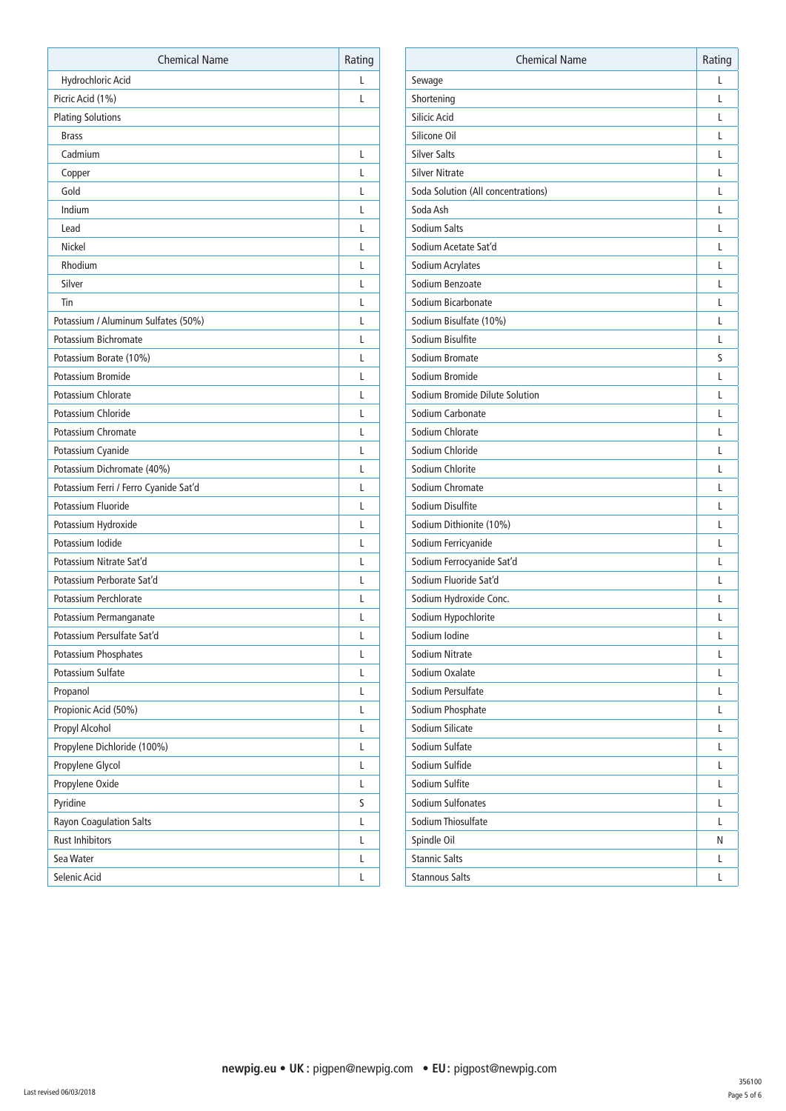| <b>Chemical Name</b>                  | Rating |
|---------------------------------------|--------|
| Hydrochloric Acid                     | L      |
| Picric Acid (1%)                      | L      |
| <b>Plating Solutions</b>              |        |
| <b>Brass</b>                          |        |
| Cadmium                               | L      |
| Copper                                | L      |
| Gold                                  | L      |
| Indium                                | L      |
| Lead                                  | L      |
| Nickel                                | L      |
| Rhodium                               | L      |
| Silver                                | L      |
| Tin                                   | L      |
| Potassium / Aluminum Sulfates (50%)   | L      |
| Potassium Bichromate                  | L      |
| Potassium Borate (10%)                | L      |
| Potassium Bromide                     | L      |
| Potassium Chlorate                    | L      |
| Potassium Chloride                    | L      |
| <b>Potassium Chromate</b>             | L      |
| Potassium Cyanide                     | L      |
| Potassium Dichromate (40%)            | L      |
| Potassium Ferri / Ferro Cyanide Sat'd | L      |
| Potassium Fluoride                    | L      |
| Potassium Hydroxide                   | L      |
| Potassium Iodide                      | L      |
| Potassium Nitrate Sat'd               | L      |
| Potassium Perborate Sat'd             | L      |
| Potassium Perchlorate                 | L      |
| Potassium Permanganate                | L      |
| Potassium Persulfate Sat'd            | L      |
| Potassium Phosphates                  | L      |
| Potassium Sulfate                     | L      |
| Propanol                              | L      |
| Propionic Acid (50%)                  | L      |
| Propyl Alcohol                        | L      |
| Propylene Dichloride (100%)           | L      |
| Propylene Glycol                      | L      |
| Propylene Oxide                       | L      |
| Pyridine                              | S      |
| Rayon Coagulation Salts               | L      |
| <b>Rust Inhibitors</b>                | L      |
| Sea Water                             | L      |
| Selenic Acid                          | L      |

| Sewage<br>Shortening<br>Silicic Acid | L<br>L |
|--------------------------------------|--------|
|                                      |        |
|                                      |        |
|                                      | L      |
| Silicone Oil                         | L      |
| <b>Silver Salts</b>                  | L      |
| <b>Silver Nitrate</b>                | L      |
| Soda Solution (All concentrations)   | L      |
| Soda Ash                             | L      |
| Sodium Salts                         | L      |
| Sodium Acetate Sat'd                 | L      |
| Sodium Acrylates                     | L      |
| Sodium Benzoate                      | L      |
| Sodium Bicarbonate                   | L      |
| Sodium Bisulfate (10%)               | L      |
| Sodium Bisulfite                     | L      |
| Sodium Bromate                       | S      |
| Sodium Bromide                       | L      |
| Sodium Bromide Dilute Solution       | L      |
| Sodium Carbonate                     | L      |
| Sodium Chlorate                      | L      |
| Sodium Chloride                      | L      |
| Sodium Chlorite                      | L      |
| Sodium Chromate                      | L      |
| Sodium Disulfite                     | L      |
| Sodium Dithionite (10%)              | L      |
| Sodium Ferricyanide                  | L      |
| Sodium Ferrocyanide Sat'd            | L      |
| Sodium Fluoride Sat'd                | L      |
| Sodium Hydroxide Conc.               | L      |
| Sodium Hypochlorite                  | L      |
| Sodium Iodine                        | L      |
| Sodium Nitrate                       | L      |
| Sodium Oxalate                       | L      |
| Sodium Persulfate                    | L      |
| Sodium Phosphate                     | L      |
| Sodium Silicate                      | L      |
| Sodium Sulfate                       | L      |
| Sodium Sulfide                       | L      |
| Sodium Sulfite                       | L      |
| Sodium Sulfonates                    | L      |
| Sodium Thiosulfate                   | L      |
| Spindle Oil                          | N      |
| <b>Stannic Salts</b>                 | L      |
| <b>Stannous Salts</b>                | L      |